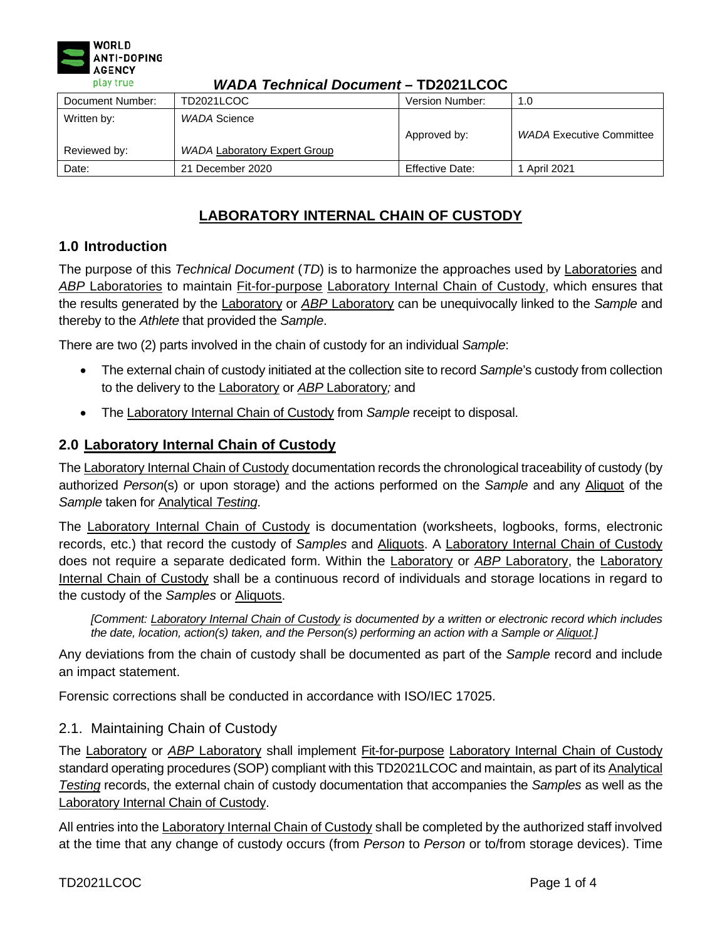

| 11ABA 16988888 B00888688<br>1 DEVE 1 LUU U |                                     |                        |                                 |  |
|--------------------------------------------|-------------------------------------|------------------------|---------------------------------|--|
| Document Number:                           | TD2021LCOC                          | Version Number:        | 1.0                             |  |
| Written by:                                | WADA Science                        | Approved by:           | <b>WADA Executive Committee</b> |  |
| Reviewed by:                               | <b>WADA Laboratory Expert Group</b> |                        |                                 |  |
| Date:                                      | 21 December 2020                    | <b>Effective Date:</b> | 1 April 2021                    |  |

# **LABORATORY INTERNAL CHAIN OF CUSTODY**

# **1.0 Introduction**

The purpose of this *Technical Document* (*TD*) is to harmonize the approaches used by Laboratories and *ABP* Laboratories to maintain Fit-for-purpose Laboratory Internal Chain of Custody, which ensures that the results generated by the Laboratory or *ABP* Laboratory can be unequivocally linked to the *Sample* and thereby to the *Athlete* that provided the *Sample*.

There are two (2) parts involved in the chain of custody for an individual *Sample*:

- The external chain of custody initiated at the collection site to record *Sample*'s custody from collection to the delivery to the Laboratory or *ABP* Laboratory*;* and
- The Laboratory Internal Chain of Custody from *Sample* receipt to disposal.

# **2.0 Laboratory Internal Chain of Custody**

The Laboratory Internal Chain of Custody documentation records the chronological traceability of custody (by authorized *Person*(s) or upon storage) and the actions performed on the *Sample* and any Aliquot of the *Sample* taken for Analytical *Testing*.

The Laboratory Internal Chain of Custody is documentation (worksheets, logbooks, forms, electronic records, etc.) that record the custody of *Samples* and Aliquots. A Laboratory Internal Chain of Custody does not require a separate dedicated form. Within the Laboratory or *ABP* Laboratory, the Laboratory Internal Chain of Custody shall be a continuous record of individuals and storage locations in regard to the custody of the *Samples* or Aliquots.

*[Comment: Laboratory Internal Chain of Custody is documented by a written or electronic record which includes the date, location, action(s) taken, and the Person(s) performing an action with a Sample or Aliquot.]*

Any deviations from the chain of custody shall be documented as part of the *Sample* record and include an impact statement.

Forensic corrections shall be conducted in accordance with ISO/IEC 17025.

# 2.1. Maintaining Chain of Custody

The Laboratory or *ABP* Laboratory shall implement Fit-for-purpose Laboratory Internal Chain of Custody standard operating procedures (SOP) compliant with this TD2021LCOC and maintain, as part of its Analytical *Testing* records, the external chain of custody documentation that accompanies the *Samples* as well as the Laboratory Internal Chain of Custody.

All entries into the Laboratory Internal Chain of Custody shall be completed by the authorized staff involved at the time that any change of custody occurs (from *Person* to *Person* or to/from storage devices). Time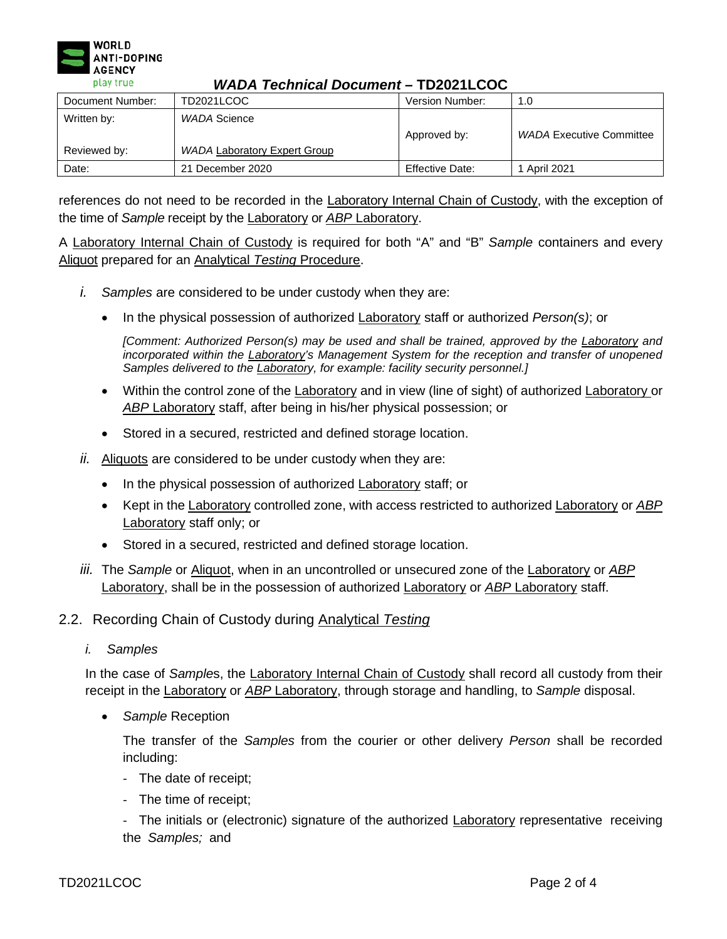

| .                |                                     |                        |                                 |  |
|------------------|-------------------------------------|------------------------|---------------------------------|--|
| Document Number: | TD2021LCOC                          | <b>Version Number:</b> | 1.0                             |  |
| Written by:      | WADA Science                        | Approved by:           | <b>WADA Executive Committee</b> |  |
| Reviewed by:     | <b>WADA Laboratory Expert Group</b> |                        |                                 |  |
| Date:            | 21 December 2020                    | <b>Effective Date:</b> | 1 April 2021                    |  |

references do not need to be recorded in the Laboratory Internal Chain of Custody, with the exception of the time of *Sample* receipt by the Laboratory or *ABP* Laboratory.

A Laboratory Internal Chain of Custody is required for both "A" and "B" *Sample* containers and every Aliquot prepared for an Analytical *Testing* Procedure.

- *i. Samples* are considered to be under custody when they are:
	- In the physical possession of authorized Laboratory staff or authorized *Person(s)*; or

*[Comment: Authorized Person(s) may be used and shall be trained, approved by the Laboratory and*  incorporated within the Laboratory's Management System for the reception and transfer of *unopened Samples delivered to the Laboratory, for example: facility security personnel.]* 

- Within the control zone of the Laboratory and in view (line of sight) of authorized Laboratory or *ABP* Laboratory staff, after being in his/her physical possession; or
- Stored in a secured, restricted and defined storage location.
- *ii.* Aliquots are considered to be under custody when they are:
	- In the physical possession of authorized Laboratory staff; or
	- Kept in the Laboratory controlled zone, with access restricted to authorized Laboratory or *ABP* Laboratory staff only; or
	- Stored in a secured, restricted and defined storage location.
- *iii.* The *Sample* or Aliquot, when in an uncontrolled or unsecured zone of the Laboratory or *ABP* Laboratory, shall be in the possession of authorized Laboratory or *ABP* Laboratory staff.

#### 2.2. Recording Chain of Custody during Analytical *Testing*

*i. Samples*

In the case of *Sample*s, the Laboratory Internal Chain of Custody shall record all custody from their receipt in the Laboratory or *ABP* Laboratory, through storage and handling, to *Sample* disposal.

• *Sample* Reception

The transfer of the *Samples* from the courier or other delivery *Person* shall be recorded including:

- The date of receipt;
- The time of receipt;

- The initials or (electronic) signature of the authorized Laboratory representative receiving the *Samples;* and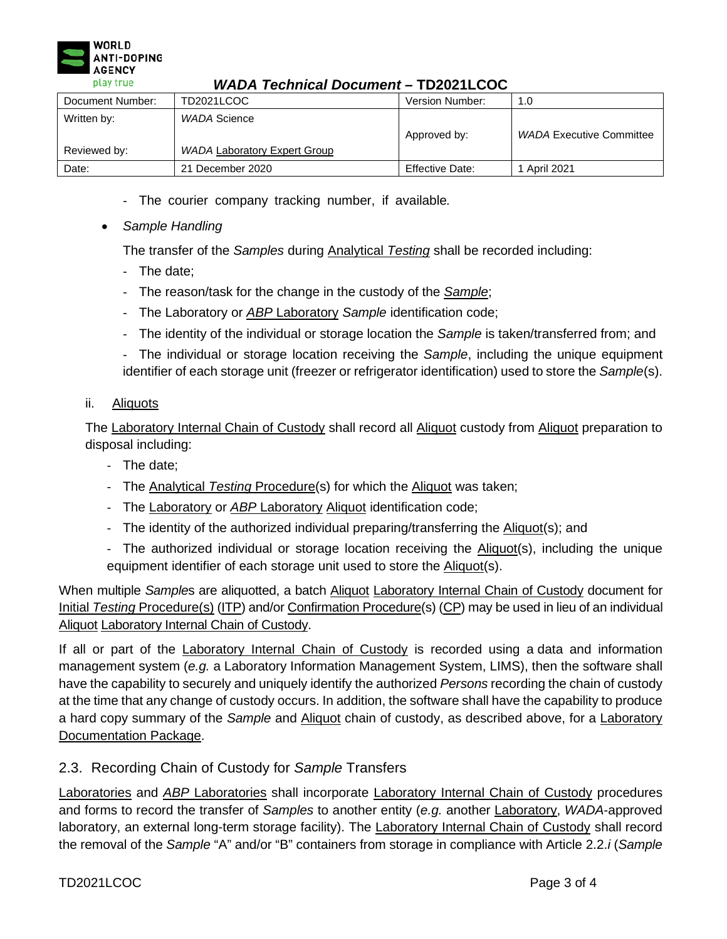

| 11ADA TUUNNUU DUUUNUN<br>1 DEVE 1 LUU U |                                     |                 |                                 |  |
|-----------------------------------------|-------------------------------------|-----------------|---------------------------------|--|
| Document Number:                        | TD2021LCOC                          | Version Number: | 1.0                             |  |
| Written by:                             | WADA Science                        | Approved by:    | <b>WADA Executive Committee</b> |  |
| Reviewed by:                            | <b>WADA Laboratory Expert Group</b> |                 |                                 |  |
| Date:                                   | 21 December 2020                    | Effective Date: | 1 April 2021                    |  |

- The courier company tracking number, if available*.*
- *Sample Handling*

The transfer of the *Samples* during Analytical *Testing* shall be recorded including:

- The date;
- The reason/task for the change in the custody of the *Sample*;
- The Laboratory or *ABP* Laboratory *Sample* identification code;
- The identity of the individual or storage location the *Sample* is taken/transferred from; and

- The individual or storage location receiving the *Sample*, including the unique equipment identifier of each storage unit (freezer or refrigerator identification) used to store the *Sample*(s).

ii. Aliquots

The Laboratory Internal Chain of Custody shall record all Aliquot custody from Aliquot preparation to disposal including:

- The date;
- The Analytical *Testing* Procedure(s) for which the Aliquot was taken;
- The Laboratory or *ABP* Laboratory Aliquot identification code;
- The identity of the authorized individual preparing/transferring the **Aliquot(s)**; and
- The authorized individual or storage location receiving the Aliquot(s), including the unique equipment identifier of each storage unit used to store the **Aliquot(s)**.

When multiple *Sample*s are aliquotted, a batch Aliquot Laboratory Internal Chain of Custody document for Initial *Testing* Procedure(s) (ITP) and/or Confirmation Procedure(s) (CP) may be used in lieu of an individual Aliquot Laboratory Internal Chain of Custody.

If all or part of the Laboratory Internal Chain of Custody is recorded using a data and information management system (*e.g.* a Laboratory Information Management System, LIMS), then the software shall have the capability to securely and uniquely identify the authorized *Persons* recording the chain of custody at the time that any change of custody occurs. In addition, the software shall have the capability to produce a hard copy summary of the *Sample* and Aliquot chain of custody, as described above, for a Laboratory Documentation Package.

# 2.3. Recording Chain of Custody for *Sample* Transfers

Laboratories and *ABP* Laboratories shall incorporate Laboratory Internal Chain of Custody procedures and forms to record the transfer of *Samples* to another entity (*e.g.* another Laboratory, *WADA*-approved laboratory, an external long-term storage facility). The Laboratory Internal Chain of Custody shall record the removal of the *Sample* "A" and/or "B" containers from storage in compliance with Article 2.2.*i* (*Sample*